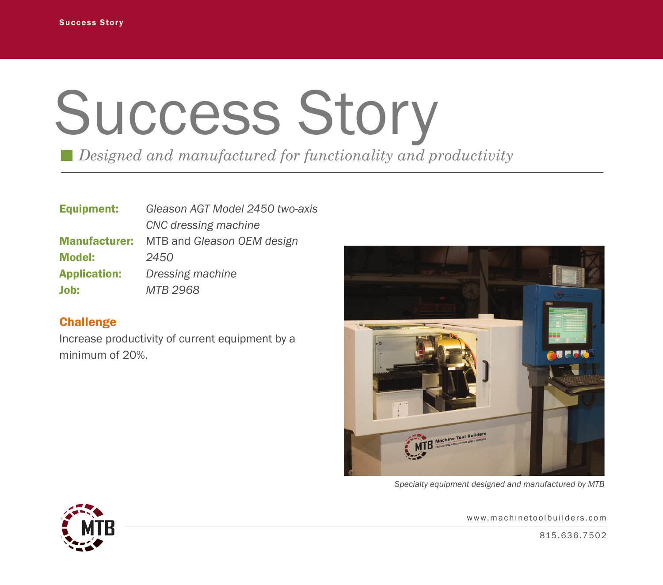## Success Story

*Designed and manufactured for functionality and productivity*

| <b>Equipment:</b>    | Gleason AGT Model 2450 two-axis |
|----------------------|---------------------------------|
|                      | CNC dressing machine            |
| <b>Manufacturer:</b> | MTB and Gleason OEM design      |
| <b>Model:</b>        | 2450                            |
| <b>Application:</b>  | Dressing machine                |
| Job:                 | MTB 2968                        |

## **Challenge**

Increase productivity of current equipment by a minimum of 20%.



*Specialty equipment designed and manufactured by MTB*



www.machinetoolbuilders.com

815 . 6 3 6 . 7 5 0 2